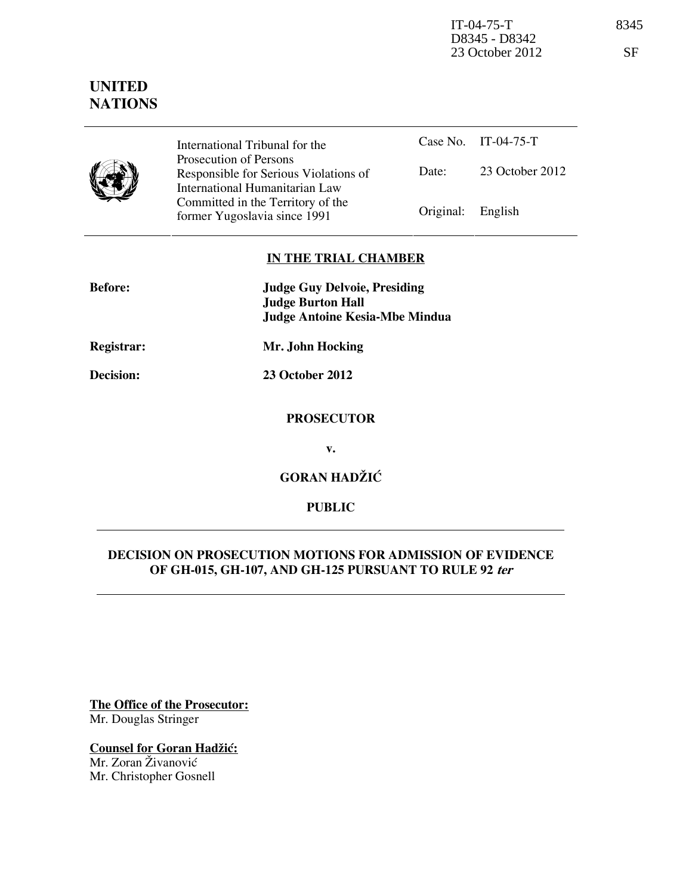IT-04-75-T 8345 D8345 - D8342 23 October 2012 SF

# **UNITED NATIONS**

|  | International |
|--|---------------|
|  | Prosecution o |
|  | Responsible   |
|  | International |
|  |               |

Tribunal for the of Persons for Serious Violations of Humanitarian Law Committed in the Territory of the Former Yugoslavia since 1991 **Original:** English

Case No. IT-04-75-T Date: 23 October 2012

## **IN THE TRIAL CHAMBER**

| <b>Before:</b> | <b>Judge Guy Delvoie, Presiding</b><br><b>Judge Burton Hall</b><br>Judge Antoine Kesia-Mbe Mindua |
|----------------|---------------------------------------------------------------------------------------------------|
| Registrar:     | Mr. John Hocking                                                                                  |
| Decision:      | <b>23 October 2012</b>                                                                            |
|                | <b>PROSECUTOR</b>                                                                                 |
|                | v.                                                                                                |
|                | <b>GORAN HADŽIĆ</b>                                                                               |
|                | <b>PUBLIC</b>                                                                                     |

## **DECISION ON PROSECUTION MOTIONS FOR ADMISSION OF EVIDENCE OF GH-015, GH-107, AND GH-125 PURSUANT TO RULE 92 ter**

**The Office of the Prosecutor:** Mr. Douglas Stringer

**Counsel for Goran Hadžić:** Mr. Zoran Živanović Mr. Christopher Gosnell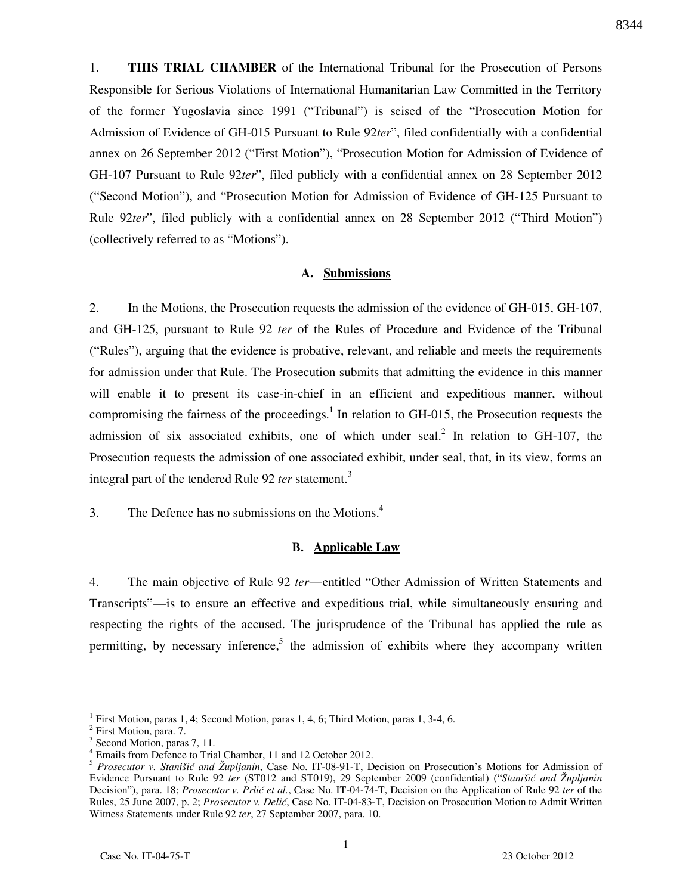1. **THIS TRIAL CHAMBER** of the International Tribunal for the Prosecution of Persons Responsible for Serious Violations of International Humanitarian Law Committed in the Territory of the former Yugoslavia since 1991 ("Tribunal") is seised of the "Prosecution Motion for Admission of Evidence of GH-015 Pursuant to Rule 92*ter*", filed confidentially with a confidential annex on 26 September 2012 ("First Motion"), "Prosecution Motion for Admission of Evidence of GH-107 Pursuant to Rule 92*ter*", filed publicly with a confidential annex on 28 September 2012 ("Second Motion"), and "Prosecution Motion for Admission of Evidence of GH-125 Pursuant to Rule 92*ter*", filed publicly with a confidential annex on 28 September 2012 ("Third Motion") (collectively referred to as "Motions").

### **A. Submissions**

2. In the Motions, the Prosecution requests the admission of the evidence of GH-015, GH-107, and GH-125, pursuant to Rule 92 *ter* of the Rules of Procedure and Evidence of the Tribunal ("Rules"), arguing that the evidence is probative, relevant, and reliable and meets the requirements for admission under that Rule. The Prosecution submits that admitting the evidence in this manner will enable it to present its case-in-chief in an efficient and expeditious manner, without compromising the fairness of the proceedings.<sup>1</sup> In relation to GH-015, the Prosecution requests the admission of six associated exhibits, one of which under seal.<sup>2</sup> In relation to GH-107, the Prosecution requests the admission of one associated exhibit, under seal, that, in its view, forms an integral part of the tendered Rule 92 *ter* statement.<sup>3</sup>

3. The Defence has no submissions on the Motions. $4\overline{4}$ 

#### **B. Applicable Law**

4. The main objective of Rule 92 *ter*—entitled "Other Admission of Written Statements and Transcripts"—is to ensure an effective and expeditious trial, while simultaneously ensuring and respecting the rights of the accused. The jurisprudence of the Tribunal has applied the rule as permitting, by necessary inference,<sup>5</sup> the admission of exhibits where they accompany written

<sup>1</sup> First Motion, paras 1, 4; Second Motion, paras 1, 4, 6; Third Motion, paras 1, 3-4, 6.

<sup>&</sup>lt;sup>2</sup> First Motion, para. 7.

<sup>&</sup>lt;sup>3</sup> Second Motion, paras 7, 11.

<sup>4</sup> Emails from Defence to Trial Chamber, 11 and 12 October 2012.

<sup>5</sup> *Prosecutor v. Stanišić and Župljanin*, Case No. IT-08-91-T, Decision on Prosecution's Motions for Admission of Evidence Pursuant to Rule 92 *ter* (ST012 and ST019), 29 September 2009 (confidential) ("*Stanišić and Župljanin* Decision"), para. 18; *Prosecutor v. Prlić et al.*, Case No. IT-04-74-T, Decision on the Application of Rule 92 *ter* of the Rules, 25 June 2007, p. 2; *Prosecutor v. Delić*, Case No. IT-04-83-T, Decision on Prosecution Motion to Admit Written Witness Statements under Rule 92 *ter*, 27 September 2007, para. 10.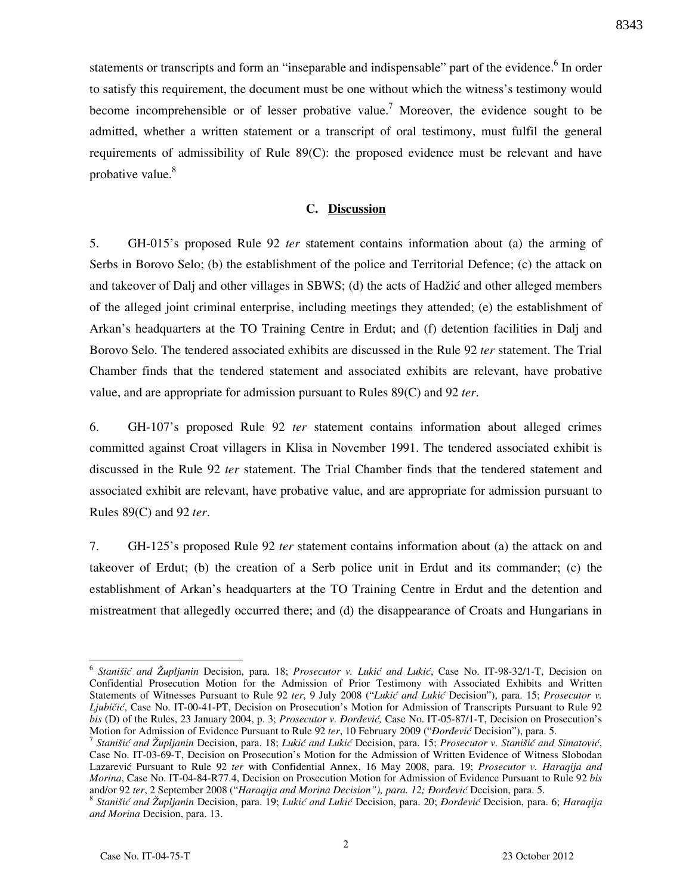statements or transcripts and form an "inseparable and indispensable" part of the evidence.<sup>6</sup> In order to satisfy this requirement, the document must be one without which the witness's testimony would become incomprehensible or of lesser probative value.<sup>7</sup> Moreover, the evidence sought to be admitted, whether a written statement or a transcript of oral testimony, must fulfil the general requirements of admissibility of Rule 89(C): the proposed evidence must be relevant and have probative value.<sup>8</sup>

#### **C. Discussion**

5. GH-015's proposed Rule 92 *ter* statement contains information about (a) the arming of Serbs in Borovo Selo; (b) the establishment of the police and Territorial Defence; (c) the attack on and takeover of Dalj and other villages in SBWS; (d) the acts of Hadžić and other alleged members of the alleged joint criminal enterprise, including meetings they attended; (e) the establishment of Arkan's headquarters at the TO Training Centre in Erdut; and (f) detention facilities in Dalj and Borovo Selo. The tendered associated exhibits are discussed in the Rule 92 *ter* statement. The Trial Chamber finds that the tendered statement and associated exhibits are relevant, have probative value, and are appropriate for admission pursuant to Rules 89(C) and 92 *ter*.

6. GH-107's proposed Rule 92 *ter* statement contains information about alleged crimes committed against Croat villagers in Klisa in November 1991. The tendered associated exhibit is discussed in the Rule 92 *ter* statement. The Trial Chamber finds that the tendered statement and associated exhibit are relevant, have probative value, and are appropriate for admission pursuant to Rules 89(C) and 92 *ter*.

7. GH-125's proposed Rule 92 *ter* statement contains information about (a) the attack on and takeover of Erdut; (b) the creation of a Serb police unit in Erdut and its commander; (c) the establishment of Arkan's headquarters at the TO Training Centre in Erdut and the detention and mistreatment that allegedly occurred there; and (d) the disappearance of Croats and Hungarians in

<sup>&</sup>lt;sup>6</sup> Stanišić and Župljanin Decision, para. 18; *Prosecutor v. Lukić and Lukić*, Case No. IT-98-32/1-T, Decision on Confidential Prosecution Motion for the Admission of Prior Testimony with Associated Exhibits and Written Statements of Witnesses Pursuant to Rule 92 ter, 9 July 2008 ("Lukić and Lukić Decision"), para. 15; *Prosecutor v. Ljubičić*, Case No. IT-00-41-PT, Decision on Prosecution's Motion for Admission of Transcripts Pursuant to Rule 92 *bis* (D) of the Rules, 23 January 2004, p. 3; *Prosecutor v. Đorđević*, Case No. IT-05-87/1-T, Decision on Prosecution's Motion for Admission of Evidence Pursuant to Rule 92 *ter*, 10 February 2009 ("*Dordević* Decision"), para. 5.

<sup>&</sup>lt;sup>7</sup> Stanišić and Župljanin Decision, para. 18; Lukić and Lukić Decision, para. 15; Prosecutor v. Stanišić and Simatović, Case No. IT-03-69-T, Decision on Prosecution's Motion for the Admission of Written Evidence of Witness Slobodan Lazarevi} Pursuant to Rule 92 *ter* with Confidential Annex, 16 May 2008, para. 19; *Prosecutor v. Haraqija and Morina*, Case No. IT-04-84-R77.4, Decision on Prosecution Motion for Admission of Evidence Pursuant to Rule 92 *bis* and/or 92 ter, 2 September 2008 ("Haraqija and Morina Decision"), para. 12; Đorđević Decision, para. 5.

<sup>&</sup>lt;sup>8</sup> Stanišić and Župljanin Decision, para. 19; Lukić and Lukić Decision, para. 20; *Đorđević* Decision, para. 6; *Haraqija and Morina* Decision, para. 13.